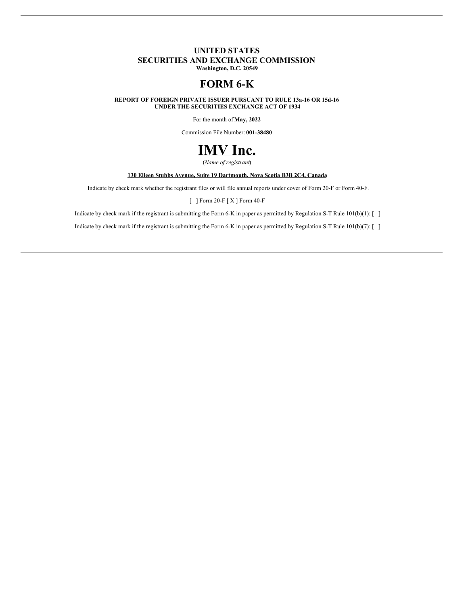## **UNITED STATES SECURITIES AND EXCHANGE COMMISSION**

**Washington, D.C. 20549**

# **FORM 6-K**

**REPORT OF FOREIGN PRIVATE ISSUER PURSUANT TO RULE 13a-16 OR 15d-16 UNDER THE SECURITIES EXCHANGE ACT OF 1934**

For the month of **May, 2022**

Commission File Number: **001-38480**



(*Name of registrant*)

#### **130 Eileen Stubbs Avenue, Suite 19 Dartmouth, Nova Scotia B3B 2C4, Canada**

Indicate by check mark whether the registrant files or will file annual reports under cover of Form 20-F or Form 40-F.

[ ] Form 20-F [ X ] Form 40-F

Indicate by check mark if the registrant is submitting the Form 6-K in paper as permitted by Regulation S-T Rule 101(b)(1): [ ]

Indicate by check mark if the registrant is submitting the Form 6-K in paper as permitted by Regulation S-T Rule 101(b)(7): [ ]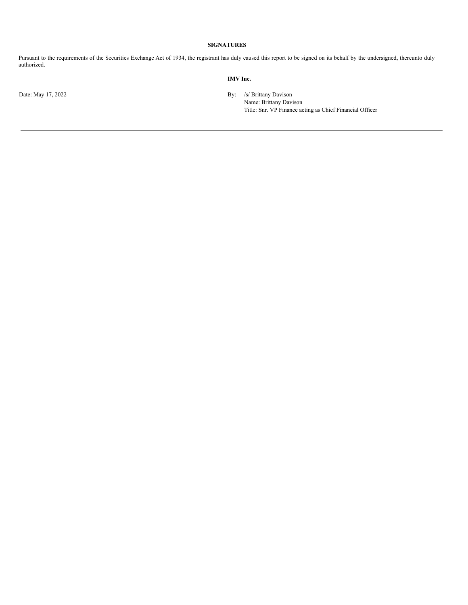## **SIGNATURES**

Pursuant to the requirements of the Securities Exchange Act of 1934, the registrant has duly caused this report to be signed on its behalf by the undersigned, thereunto duly authorized.

## **IMV Inc.**

Date: May 17, 2022 By: /s/ Brittany Davison Name: Brittany Davison Title: Snr. VP Finance acting as Chief Financial Officer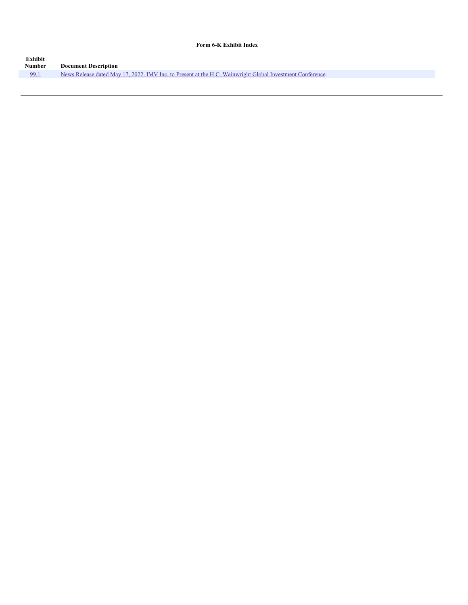## **Form 6-K Exhibit Index**

| Exhibit |                                                                                                           |
|---------|-----------------------------------------------------------------------------------------------------------|
| Number  | <b>Document Description</b>                                                                               |
| 99.1    | News Release dated May 17, 2022. IMV Inc. to Present at the H.C. Wainwright Global Investment Conference. |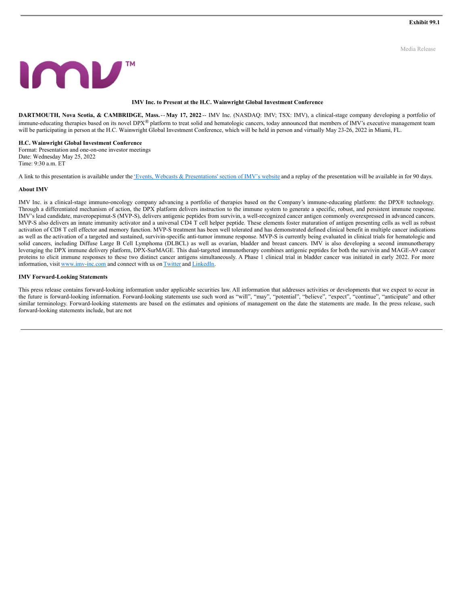Media Release

<span id="page-3-0"></span>

#### **IMV Inc. to Present at the H.C. Wainwright Global Investment Conference**

**DARTMOUTH, Nova Scotia, & CAMBRIDGE, Mass.**-- **May 17, 2022** -- IMV Inc. (NASDAQ: IMV; TSX: IMV), a clinical-stage company developing a portfolio of immune-educating therapies based on its novel DPX® platform to treat solid and hematologic cancers, today announced that members of IMV's executive management team will be participating in person at the H.C. Wainwright Global Investment Conference, which will be held in person and virtually May 23-26, 2022 in Miami, FL.

#### **H.C. Wainwright Global Investment Conference**

Format: Presentation and one-on-one investor meetings Date: Wednesday May 25, 2022 Time: 9:30 a.m. ET

A link to this presentation is available under the *'Events*, Webcasts & Presentations' section of IMV's website and a replay of the presentation will be available in for 90 days.

#### **About IMV**

IMV Inc. is a clinical-stage immuno-oncology company advancing a portfolio of therapies based on the Company's immune-educating platform: the DPX® technology. Through a differentiated mechanism of action, the DPX platform delivers instruction to the immune system to generate a specific, robust, and persistent immune response. IMV's lead candidate, maveropepimut-S (MVP-S), delivers antigenic peptides from survivin, a well-recognized cancer antigen commonly overexpressed in advanced cancers. MVP-S also delivers an innate immunity activator and a universal CD4 T cell helper peptide. These elements foster maturation of antigen presenting cells as well as robust activation of CD8 T cell effector and memory function. MVP-S treatment has been well tolerated and has demonstrated defined clinical benefit in multiple cancer indications as well as the activation of a targeted and sustained, survivin-specific anti-tumor immune response. MVP-S is currently being evaluated in clinical trials for hematologic and solid cancers, including Diffuse Large B Cell Lymphoma (DLBCL) as well as ovarian, bladder and breast cancers. IMV is also developing a second immunotherapy leveraging the DPX immune delivery platform, DPX-SurMAGE. This dual-targeted immunotherapy combines antigenic peptides for both the survivin and MAGE-A9 cancer proteins to elicit immune responses to these two distinct cancer antigens simultaneously. A Phase 1 clinical trial in bladder cancer was initiated in early 2022. For more information, visit www.imv-inc.com and connect with us on Twitter and LinkedIn.

#### **IMV Forward-Looking Statements**

This press release contains forward-looking information under applicable securities law. All information that addresses activities or developments that we expect to occur in the future is forward-looking information. Forward-looking statements use such word as "will", "may", "potential", "believe", "expect", "continue", "anticipate" and other similar terminology. Forward-looking statements are based on the estimates and opinions of management on the date the statements are made. In the press release, such forward-looking statements include, but are not